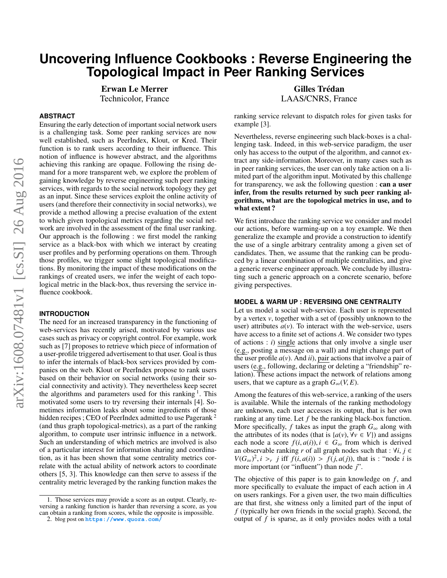# **Uncovering Influence Cookbooks : Reverse Engineering the Topological Impact in Peer Ranking Services**

Erwan Le Merrer Technicolor, France

# **ABSTRACT**

Ensuring the early detection of important social network users is a challenging task. Some peer ranking services are now well established, such as PeerIndex, Klout, or Kred. Their function is to rank users according to their influence. This notion of influence is however abstract, and the algorithms achieving this ranking are opaque. Following the rising demand for a more transparent web, we explore the problem of gaining knowledge by reverse engineering such peer ranking services, with regards to the social network topology they get as an input. Since these services exploit the online activity of users (and therefore their connectivity in social networks), we provide a method allowing a precise evaluation of the extent to which given topological metrics regarding the social network are involved in the assessment of the final user ranking. Our approach is the following : we first model the ranking service as a black-box with which we interact by creating user profiles and by performing operations on them. Through those profiles, we trigger some slight topological modifications. By monitoring the impact of these modifications on the rankings of created users, we infer the weight of each topological metric in the black-box, thus reversing the service influence cookbook.

## **INTRODUCTION**

The need for an increased transparency in the functioning of web-services has recently arised, motivated by various use cases such as privacy or copyright control. For example, work such as [\[7\]](#page-4-0) proposes to retrieve which piece of information of a user-profile triggered advertisement to that user. Goal is thus to infer the internals of black-box services provided by companies on the web. Klout or PeerIndex propose to rank users based on their behavior on social networks (using their social connectivity and activity). They nevertheless keep secret the algorithms and parameters used for this ranking<sup>[1](#page-0-0)</sup>. This motivated some users to try reversing their internals [\[4\]](#page-4-1). Sometimes information leaks about some ingredients of those hidden recipes ; CEO of PeerIndex admitted to use Pagerank<sup>[2](#page-0-1)</sup> (and thus graph topological-metrics), as a part of the ranking algorithm, to compute user intrinsic influence in a network. Such an understanding of which metrics are involved is also of a particular interest for information sharing and coordination, as it has been shown that some centrality metrics correlate with the actual ability of network actors to coordinate others [\[5,](#page-4-2) [3\]](#page-4-3). This knowledge can then serve to assess if the centrality metric leveraged by the ranking function makes the

Gilles Trédan LAAS/CNRS, France

ranking service relevant to dispatch roles for given tasks for example [\[3\]](#page-4-3).

Nevertheless, reverse engineering such black-boxes is a challenging task. Indeed, in this web-service paradigm, the user only has access to the output of the algorithm, and cannot extract any side-information. Moreover, in many cases such as in peer ranking services, the user can only take action on a limited part of the algorithm input. Motivated by this challenge for transparency, we ask the following question : can a user infer, from the results returned by such peer ranking algorithms, what are the topological metrics in use, and to what extent ?

We first introduce the ranking service we consider and model our actions, before warming-up on a toy example. We then generalize the example and provide a construction to identify the use of a single arbitrary centrality among a given set of candidates. Then, we assume that the ranking can be produced by a linear combination of multiple centralities, and give a generic reverse engineer approach. We conclude by illustrating such a generic approach on a concrete scenario, before giving perspectives.

#### **MODEL & WARM UP : REVERSING ONE CENTRALITY**

Let us model a social web-service. Each user is represented by a vertex *v*, together with a set of (possibly unknown to the user) attributes  $a(v)$ . To interact with the web-service, users have access to a finite set of actions *A*. We consider two types of actions : *i*) single actions that only involve a single user (e.g., posting a message on a wall) and might change part of the user profile  $a(v)$ . And *ii*), pair actions that involve a pair of users (e.g., following, declaring or deleting a "friendship" relation). These actions impact the network of relations among users, that we capture as a graph  $G_{\infty}(V, E)$ .

Among the features of this web-service, a ranking of the users is available. While the internals of the ranking methodology are unknown, each user accesses its output, that is her own ranking at any time. Let *f* be the ranking black-box function. More specifically, *f* takes as input the graph  $G_{\infty}$  along with the attributes of its nodes (that is  $\{a(v), \forall v \in V\}$ ) and assigns each node a score  $f(i, a(i))$ ,  $i \in G_\infty$  from which is derived an observable ranking *r* of all graph nodes such that :  $\forall i, j \in$  $V(G_{\infty})^2$ ,  $i > r$  *j* iff  $f(i, a(i)) > f(j, a(j))$ , that is : "node *i* is more important (or "influent") than node *i*" more important (or "influent") than node *j*".

The objective of this paper is to gain knowledge on *f*, and more specifically to evaluate the impact of each action in *A* on users rankings. For a given user, the two main difficulties are that first, she witness only a limited part of the input of *f* (typically her own friends in the social graph). Second, the output of *f* is sparse, as it only provides nodes with a total

<span id="page-0-0"></span><sup>1.</sup> Those services may provide a score as an output. Clearly, reversing a ranking function is harder than reversing a score, as you can obtain a ranking from scores, while the opposite is impossible.

<span id="page-0-1"></span><sup>2.</sup> blog post on **<https://www.quora.com/>**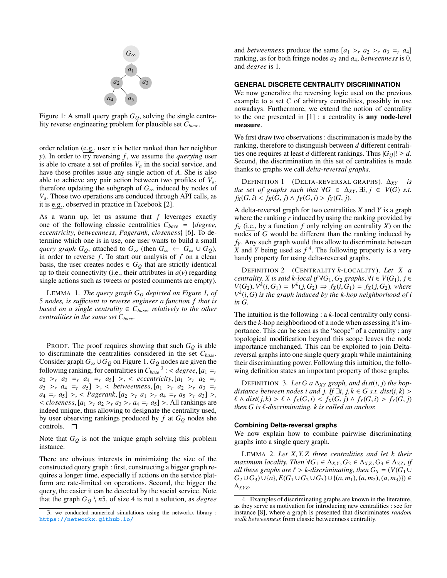<span id="page-1-0"></span>

Figure 1: A small query graph *GQ*, solving the single centrality reverse engineering problem for plausible set *Cbase*.

order relation (e.g., user *x* is better ranked than her neighbor *y*). In order to try reversing *f*, we assume the *querying* user is able to create a set of profiles  $V_a$  in the social service, and have those profiles issue any single action of *A*. She is also able to achieve any pair action between two profiles of *Va*, therefore updating the subgraph of  $G_{\infty}$  induced by nodes of  $V_a$ . Those two operations are conduced through API calls, as it is e.g., observed in practice in Facebook [\[2\]](#page-4-4).

As a warm up, let us assume that *f* leverages exactly one of the following classic centralities *<sup>C</sup>base* <sup>=</sup> {*degree*, *eccentricity*, *betweenness*, *Pagerank*, *closeness*} [\[6\]](#page-4-5). To determine which one is in use, one user wants to build a small *query graph*  $G_Q$ , attached to  $G_\infty$  (then  $G_\infty \leftarrow G_\infty \cup G_Q$ ), in order to reverse  $f$ . To start our analysis of  $f$  on a clean basis, the user creates nodes  $\in G_Q$  that are strictly identical up to their connectivity (i.e., their attributes in  $a(v)$  regarding single actions such as tweets or posted comments are empty).

LEMMA 1. *The query graph G<sup>Q</sup> depicted on Figure [1,](#page-1-0) of* 5 *nodes, is sufficient to reverse engineer a function f that is based on a single centrality*  $\in$   $C_{base}$ *, relatively to the other centralities in the same set Cbase.*

PROOF. The proof requires showing that such *G<sup>Q</sup>* is able to discriminate the centralities considered in the set *Cbase*. Consider graph  $G_{\infty} \cup G_Q$  on Figure [1.](#page-1-0)  $G_Q$  nodes are given the following ranking, for centralities in  $C_{base}^3$  $C_{base}^3$ : < degree,  $[a_1 = a_2] \ge a_1 a_2 = a_3$ <br>  $a_2 = a_4 = a_5$   $a_1 \ge a_2$  eccentricity  $[a_1 \ge a_2] = a_1$  $a_2 > r$   $a_3 = r$   $a_4 = r$   $a_5$   $> r$  *cecentricity*,  $[a_1 > r$   $a_2 = r$  $a_3$  >*r*  $a_4$  =*r*  $a_5$ ] >, < *betweenness*,  $[a_1$  >*r*  $a_2$  >*r*  $a_3$  =*r*  $a_4 = r \ a_5$  >, < *Pagerank*,  $[a_2 > r \ a_1 > r \ a_4 = r \ a_5 > r \ a_3$  >,  $\langle$  *closeness*,  $[a_1 > r, a_2 > r, a_3 > r, a_4 = r, a_5] >$ . All rankings are indeed unique, thus allowing to designate the centrality used, by user observing rankings produced by  $f$  at  $G_Q$  nodes she controls.  $\square$ 

Note that  $G_Q$  is not the unique graph solving this problem instance.

There are obvious interests in minimizing the size of the constructed query graph : first, constructing a bigger graph requires a longer time, especially if actions on the service platform are rate-limited on operations. Second, the bigger the query, the easier it can be detected by the social service. Note that the graph  $G_Q \setminus n5$ , of size 4 is not a solution, as *degree*  and *betweenness* produce the same  $[a_1 > r, a_2 > r, a_3 = r, a_4]$ ranking, as for both fringe nodes *a*<sup>3</sup> and *a*4, *betweenness* is 0, and *degree* is 1.

## **GENERAL DISCRETE CENTRALITY DISCRIMINATION**

We now generalize the reversing logic used on the previous example to a set *C* of arbitrary centralities, possibly in use nowadays. Furthermore, we extend the notion of centrality to the one presented in [\[1\]](#page-4-6) : a centrality is any node-level measure.

We first draw two observations : discrimination is made by the ranking, therefore to distinguish between *d* different centralities one requires at least *d* different rankings. Thus  $|G_O|! \ge d$ . Second, the discrimination in this set of centralities is made thanks to graphs we call *delta-reversal graphs*.

DEFINITION 1 (DELTA-REVERSAL GRAPHS). ∆*XY is the set of graphs such that*  $\forall G \in \Delta_{XY}, \exists i, j \in V(G) \text{ s.t.}$  $f_X(G, i) < f_X(G, j) \land f_Y(G, i) > f_Y(G, j).$ 

A delta-reversal graph for two centralities *X* and *Y* is a graph where the ranking *r* induced by using the ranking provided by  $f_X$  (i.e., by a function  $f$  only relying on centrality  $X$ ) on the nodes of *G* would be different than the ranking induced by *f<sup>Y</sup>* . Any such graph would thus allow to discriminate between X and *Y* being used as  $f^4$  $f^4$ . The following property is a very handy property for using delta-reversal graphs.

DEFINITION 2 (CENTRALITY *k*-LOCALITY). *Let X a centrality. X is said k*-*local if* ∀*G*<sub>1</sub>, *G*<sub>2</sub> *graphs*, ∀*i* ∈ *V*(*G*<sub>1</sub>), *j* ∈  $V(G_2), V^k(i, G_1) = V^k(j, G_2) \Rightarrow f_X(i, G_1) = f_X(j, G_2)$ *, where*  $V^k(i, G)$  is the graph induced by the k-hop neighborhood of i  $V^k(i, G)$  *is the graph induced by the k-hop neighborhood of <i>i in G in G.*

The intuition is the following : a *k*-local centrality only considers the *k*-hop neighborhood of a node when assessing it's importance. This can be seen as the "scope" of a centrality : any topological modification beyond this scope leaves the node importance unchanged. This can be exploited to join Deltareversal graphs into one single query graph while maintaining their discriminating power. Following this intuition, the following definition states an important property of those graphs.

DEFINITION 3. Let G a  $\Delta_{XY}$  graph, and dist(*i*, *j*) the hop*distance between nodes i and j. If*  $\exists i, j, k \in G$  *s.t. dist*(*i, k*) >  $\ell$  ∧ *dist*(*j*, *k*) >  $\ell$  ∧ *f<sub>X</sub>*(*G*, *i*) < *f<sub>X</sub>*(*G*, *j*) ∧ *f<sub>Y</sub>*(*G*, *i*) > *f<sub>Y</sub>*(*G*, *j*) *then <sup>G</sup> is* `*-discriminating. <sup>k</sup> is called an anchor.*

### **Combining Delta-reversal graphs**

<span id="page-1-3"></span>We now explain how to combine pairwise discriminating graphs into a single query graph.

<sup>L</sup>EMMA 2. *Let <sup>X</sup>*, *<sup>Y</sup>*, *<sup>Z</sup> three centralities and let <sup>k</sup> their maximum locality. Then*  $\forall G_1 \in \Delta_{X,Y}, G_2 \in \Delta_{X,Z}, G_3 \in \Delta_{Y,Z}$ *if all these graphs are*  $\ell > k$ -discriminating, then  $G_S = (V(G_1 \cup$  $G_2 \cup G_3) \cup \{a\}, E(G_1 \cup G_2 \cup G_3) \cup \{(a, m_1), (a, m_2), (a, m_3)\})$  ∈ ∆*XYZ.*

<span id="page-1-1"></span><sup>3.</sup> we conducted numerical simulations using the networkx library : **<https://networkx.github.io/>**

<span id="page-1-2"></span><sup>4.</sup> Examples of discriminating graphs are known in the literature, as they serve as motivation for introducing new centralities : see for instance [\[8\]](#page-4-7), where a graph is presented that discriminates *random walk betweenness* from classic betweenness centrality.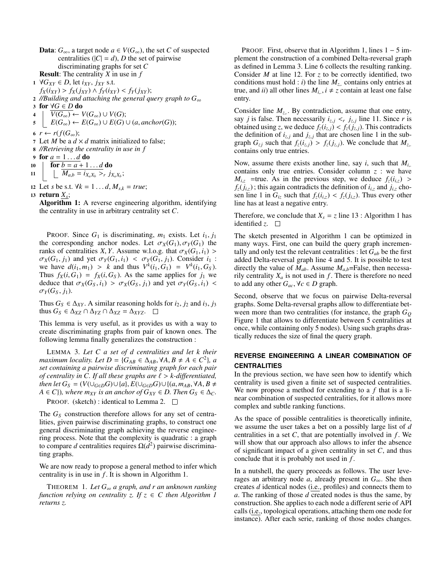- **Data**:  $G_{\infty}$ , a target node *a* ∈  $V(G_{\infty})$ , the set *C* of suspected centralities ( $|C| = d$ ), *D* the set of pairwise discriminating graphs for set *C* Result: The centrality *X* in use in *f*
- <sup>1</sup> ∀*GXY* ∈ *D*, let *iXY* , *jXY* s.t.
- $f_X(i_{XY}) > f_X(j_{XY}) \wedge f_Y(i_{XY}) < f_Y(j_{XY});$

<sup>2</sup> *//Building and attaching the general query graph to G*<sup>∞</sup> <sup>3</sup> for ∀*G* ∈ *D* do

4  $\mid V(G_{\infty}) \leftarrow V(G_{\infty}) \cup V(G);$ 

- $\mathcal{E}(G_{\infty}) \leftarrow E(G_{\infty}) \cup E(G) \cup (a, \text{anchor}(G));$
- 6  $r \leftarrow r(f(G_\infty))$ ;

7 Let *M* be a  $d \times d$  matrix initialized to false;

8 *//Retrieving the centrality in use in f*

9 for  $a = 1...d$  do<br>10  $\int$  for  $b = a + 1$ .

10  $\left\{\begin{array}{c} \text{for } b = a+1 \dots d \text{ do} \\ \downarrow \quad M_{ab} = i_{y} \dots \geq a_{a} \end{array}\right.$ 11  $\left[ \prod_{a} M_{a,b} = i_{X_a X_b} >_r j_{X_a X_b}; \right]$ 

12 Let *s* be s.t.  $\forall k = 1...d, M_{s,k} = true;$ 

## 13 return  $\underline{X_s}$ ;

<span id="page-2-0"></span>Algorithm 1: A reverse engineering algorithm, identifying the centrality in use in arbitrary centrality set *C*.

PROOF. Since  $G_1$  is discriminating,  $m_1$  exists. Let  $i_1, j_1$ the corresponding anchor nodes. Let  $\sigma_X(G_1), \sigma_Y(G_1)$  the ranks of centralities *X*, *Y*. Assume w.l.o.g. that  $\sigma_X(G_1, i_1)$  $\sigma_X(G_1, j_1)$  and yet  $\sigma_Y(G_1, i_1) < \sigma_Y(G_1, j_1)$ . Consider  $i_1$ : we have  $d(i_1, m_1) > k$  and thus  $V^k(i_1, G_1) = V^k(i_1, G_S)$ .<br>Thus  $f_V(i, G_1) = f_V(i, G_S)$ . As the same applies for *i*, we Thus  $f_X(i, G_1) = f_X(i, G_S)$ . As the same applies for  $j_1$  we deduce that  $\sigma_X(G_S, i_1) > \sigma_X(G_S, j_1)$  and yet  $\sigma_Y(G_S, i_1)$  $\sigma_Y(G_S, j_1)$ .

Thus  $G_S \in \Delta_{XY}$ . A similar reasoning holds for  $i_2$ ,  $j_2$  and  $i_3$ ,  $j_3$ thus  $G_S \in \Delta_{XZ} \cap \Delta_{YZ} \cap \Delta_{XZ} = \Delta_{XYZ}$ .  $\square$ 

This lemma is very useful, as it provides us with a way to create discriminating graphs from pair of known ones. The following lemma finally generalizes the construction :

<span id="page-2-1"></span>LEMMA 3. *Let C a set of d centralities and let k their maximum locality. Let*  $D = \{G_{AB} \in \Delta_{AB}, \forall A, B \neq A \in C^2\}$ , *a set containing a pairwise discriminating graph for each pair set containing a pairwise discriminating graph for each pair of centrality in C. If all these graphs are*  $\ell > k$ -differentiated, *then let*  $G_S = (V(\cup_{G \in D} G) \cup \{a\}, E(\cup_{G \in D} G) \cup \{(a, m_{AB}, \forall A, B \neq b\})$  $A \in C$ )*), where*  $m_{XY}$  *is an anchor of*  $G_{XY} \in D$ *. Then*  $G_S \in \Delta_C$ *.* 

PROOF. (sketch) : identical to Lemma [2.](#page-1-3)  $\square$ 

The *G<sup>S</sup>* construction therefore allows for any set of centralities, given pairwise discriminating graphs, to construct one general discriminating graph achieving the reverse engineering process. Note that the complexity is quadratic : a graph to compare *d* centralities requires Ω(*d* 2 ) pairwise discriminating graphs.

We are now ready to propose a general method to infer which centrality is in use in  $f$ . It is shown in Algorithm [1.](#page-2-0)

THEOREM 1. *Let G*<sup>∞</sup> *a graph, and r an unknown ranking function relying on centrality z. If*  $z \in C$  *then Algorithm [1](#page-2-0) returns z.*

PROOF. First, observe that in Algorithm [1,](#page-2-0) lines  $1 - 5$  implement the construction of a combined Delta-reversal graph as defined in Lemma [3.](#page-2-1) Line 6 collects the resulting ranking. Consider *M* at line 12. For *z* to be correctly identified, two conditions must hold : *i*) the line  $M<sub>z</sub>$ , contains only entries at true, and *ii*) all other lines  $M_{i_n}$ ,  $i \neq z$  contain at least one false entry.

Consider line  $M_{z}$ . By contradiction, assume that one entry, say *j* is false. Then necessarily  $i_{z,j} < r$ ,  $j_{z,j}$  line 11. Since *r* is obtained using *z* we deduce  $f_i(i, \cdot) < f_j(i, \cdot)$  This contradicts obtained using *z*, we deduce  $f_z(i_{z,j}) < f_z(j_{z,j})$ . This contradicts the definition of  $i_{z,j}$  and  $j_{z,j}$  that are chosen line 1 in the sub-<br>graph  $G_{\lambda}$  such that  $f(i_{\lambda}) > f(i_{\lambda})$ . We conclude that M graph  $G_{zj}$  such that  $f_z(i_{z,j}) > f_z(j_{z,j})$ . We conclude that  $M_{z}$ , contains only true entries.

Now, assume there exists another line, say *<sup>i</sup>*, such that *<sup>M</sup><sup>i</sup>*,. contains only true entries. Consider column *z* : we have  $M_{i,z}$  =true. As in the previous step, we deduce  $f_z(i_{i,z})$  >  $f_z(j_{i,z})$ ; this again contradicts the definition of  $i_{i,z}$  and  $j_{i,z}$  chosen line 1 in  $G_{iz}$  such that  $f_z(i_{iz}) < f_z(j_{iz})$ . Thus every other line has at least a negative entry.

Therefore, we conclude that  $X_s = z$  line [1](#page-2-0)3 : Algorithm 1 has identified  $z$ .  $\square$ 

The sketch presented in Algorithm [1](#page-2-0) can be optimized in many ways. First, one can build the query graph incrementally and only test the relevant centralities : let  $G_{ab}$  be the first added Delta-reversal graph line 4 and 5. It is possible to test directly the value of  $M_{ab}$ . Assume  $M_{a,b}$ =False, then necessarily centrality  $X_a$  is not used in  $f$ . There is therefore no need to add any other  $G_{ac}$ ,  $\forall c \in D$  graph.

Second, observe that we focus on pairwise Delta-reversal graphs. Some Delta-reversal graphs allow to differentiate between more than two centralities (for instance, the graph *G<sup>Q</sup>* Figure [1](#page-1-0) that allows to differentiate between 5 centralities at once, while containing only 5 nodes). Using such graphs drastically reduces the size of final the query graph.

# **REVERSE ENGINEERING A LINEAR COMBINATION OF CENTRALITIES**

In the previous section, we have seen how to identify which centrality is used given a finite set of suspected centralities. We now propose a method for extending to a *f* that is a linear combination of suspected centralities, for it allows more complex and subtle ranking functions.

As the space of possible centralities is theoretically infinite, we assume the user takes a bet on a possibly large list of *d* centralities in a set  $C$ , that are potentially involved in  $f$ . We will show that our approach also allows to infer the absence of significant impact of a given centrality in set *C*, and thus conclude that it is probably not used in *f* .

In a nutshell, the query proceeds as follows. The user leverages an arbitrary node *a*, already present in  $G_{\infty}$ . She then creates *d* identical nodes (i.e., profiles) and connects them to *a*. The ranking of those *d* created nodes is thus the same, by construction. She applies to each node a different serie of API calls (i.e., topological operations, attaching them one node for instance). After each serie, ranking of those nodes changes.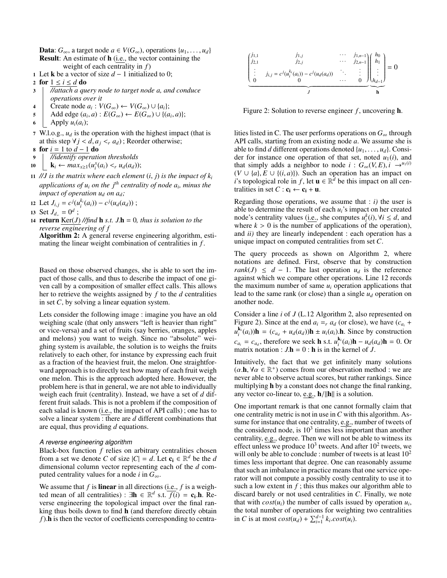**Data**:  $G_{\infty}$ , a target node *a* ∈  $V(G_{\infty})$ , operations {*u*<sub>1</sub>, . . . , *u*<sub>*d*</sub>} Result: An estimate of h (i.e., the vector containing the weight of each centrality in *f*)

- 1 Let **k** be a vector of size  $d-1$  initialized to 0;
- 2 for  $1 \le i \le d$  do
- 3 *//attach a query node to target node a, and conduce operations over it*
- 4 Create node  $a_i$  :  $V(G_\infty)$  ←  $V(G_\infty) \cup \{a_i\};$
- $\mathcal{F} = \{ \text{Add edge } (a_i, a) : E(G_{\infty}) \leftarrow E(G_{\infty}) \cup \{(a_i, a)\};$ <br>  $\text{Apply } u_i(a_i)$
- 6 | Apply  $u_i(a_i)$ ;
- 7 W.l.o.g.,  $u_d$  is the operation with the highest impact (that is at this step  $\forall j < d, a_j < r$  *a<sub>d</sub>*); Reorder otherwise;
- 8 for  $i = 1$  to  $d 1$  do
- 9 *//identify operation thresholds*
- 10  $\left[ \mathbf{k}_i \leftarrow \max_{x \geq 1} (u_i^x(a_i) <_r u_d(a_d)); \right]$
- 11 //*J* is the matrix where each element  $(i, j)$  is the impact of  $k_i$ *applications of u<sup>i</sup> on the j th centrality of node a<sup>i</sup> , minus the impact of operation*  $u_d$  *on*  $a_d$ *;*
- 12 Let  $J_{i,j} = c^{j}(u_i^{k_i}(a_i)) c^{j}(u_d(a_d))$ ;
- 13 Set  $J_{d_n} = 0^d$ ;<br>14 **return** Ker(*I*)
- 14 return  $Ker(J)$  //find **h** *s.t.*  $J.h = 0$ *, thus is solution to the reverse engineering of f*

<span id="page-3-0"></span>Algorithm 2: A general reverse engineering algorithm, estimating the linear weight combination of centralities in *f* .

Based on those observed changes, she is able to sort the impact of those calls, and thus to describe the impact of one given call by a composition of smaller effect calls. This allows her to retrieve the weights assigned by *f* to the *d* centralities in set *C*, by solving a linear equation system.

Lets consider the following image : imagine you have an old weighing scale (that only answers "left is heavier than right" or vice-versa) and a set of fruits (say berries, oranges, apples and melons) you want to weigh. Since no "absolute" weighing system is available, the solution is to weighs the fruits relatively to each other, for instance by expressing each fruit as a fraction of the heaviest fruit, the melon. One straightforward approach is to directly test how many of each fruit weigh one melon. This is the approach adopted here. However, the problem here is that in general, we are not able to individually weigh each fruit (centrality). Instead, we have a set of *d* different fruit salads. This is not a problem if the composition of each salad is known (i.e., the impact of API calls) ; one has to solve a linear system : there are *d* different combinations that are equal, thus providing *d* equations.

### *A reverse engineering algorithm*

Black-box function *f* relies on arbitrary centralities chosen from a set we denote *C* of size  $|C| = d$ . Let  $c_i \in \mathbb{R}^d$  be the *d* dimensional column vector representing each of the *d* computed centrality values for a node *i* in  $G_{\infty}$ .

We assume that  $f$  is **linear** in all directions (i.e.,  $f$  is a weighted mean of all centralities) :  $\exists \mathbf{h} \in \mathbb{R}^d$  s.t.  $\overline{f(i)} = \mathbf{c_i} \cdot \mathbf{h}$ . Re-<br>verse engineering the topological impact over the final ranverse engineering the topological impact over the final ranking thus boils down to find h (and therefore directly obtain *f*). **h** is then the vector of coefficients corresponding to centra-

<span id="page-3-1"></span>

Figure 2: Solution to reverse engineer  $f$ , uncovering **.** 

lities listed in C. The user performs operations on  $G_{\infty}$  through API calls, starting from an existing node *a*. We assume she is able to find *d* different operations denoted  $\{u_1, \ldots, u_d\}$ . Consider for instance one operation of that set, noted  $u_1(i)$ , and that simply adds a neighbor to node  $i : G_\infty(V, E), i \rightarrow u_1(i)$ (*V* ∪ {*a*}, *E* ∪ {(*i*, *a*)}). Such an operation has an impact on *i*'s topological role in *f*, let **u** ∈  $\mathbb{R}^d$  be this impact on all centralities in set  $C: \mathbf{c_i} \leftarrow \mathbf{c_i} + \mathbf{u}$ .

Regarding those operations, we assume that  $: i)$  the user is able to determine the result of each *ui*'s impact on her created node's centrality values (i.e., she computes  $u_i^k(i)$ ,  $\forall i \leq d$ , and where  $k > 0$  is the number of applications of the operation) where  $k > 0$  is the number of applications of the operation), and *ii)* they are linearly independent : each operation has a unique impact on computed centralities from set *C*.

The query proceeds as shown on Algorithm [2,](#page-3-0) where notations are defined. First, observe that by construction *rank*(*J*)  $\leq d - 1$ . The last operation  $u_d$  is the reference against which we compare other operations. Line 12 records the maximum number of same  $u_i$  operation applications that lead to the same rank (or close) than a single  $u_d$  operation on another node.

Consider a line *i* of *J* (L.12 Algorithm [2,](#page-3-0) also represented on Figure [2\)](#page-3-1). Since at the end  $a_i = r a_d$  (or close), we have  $(c_{a_i} + c_i)$  $u_i^{k_i}(a_i)$ )h = ( $c_{a_d} + u_d(a_d)$ )h ±  $u_i(a_i)$ .h. Since by construction  $c_{a_i} = c_{a_d}$ , therefore we seek **h** s.t.  $u_i^{k_i}(a_i)$ h −  $u_d(a_d)$ h = 0. Or matrix notation :  $J \cdot \mathbf{h} = 0 : \mathbf{h}$  is in the kernel of *J*.

Intuitively, the fact that we get infinitely many solutions  $(\alpha, \mathbf{h}, \forall \alpha \in \mathbb{R}^+)$  comes from our observation method : we are never able to observe actual scores but rather rankings. Since never able to observe actual scores, but rather rankings. Since multiplying h by a constant does not change the final ranking, any vector co-linear to, e.g.,  $h/||h||$  is a solution.

One important remark is that one cannot formally claim that one centrality metric is not in use in*C* with this algorithm. Assume for instance that one centrality, e.g., number of tweets of the considered node, is  $10^3$  times less important than another centrality, e.g., degree. Then we will not be able to witness its effect unless we produce  $10^3$  tweets. And after  $10^2$  tweets, we will only be able to conclude : number of tweets is at least  $10<sup>2</sup>$ times less important that degree. One can reasonably assume that such an imbalance in practice means that one service operator will not compute a possibly costly centrality to use it to such a low extent in  $f$ ; this thus makes our algorithm able to discard barely or not used centralities in *C*. Finally, we note that with  $cost(u_i)$  the number of calls issued by operation  $u_i$ , the total number of operations for weighting two centralities in *C* is at most  $cost(u_d) + \sum_{i=1}^{d-1} k_i \cdot cost(u_i)$ .